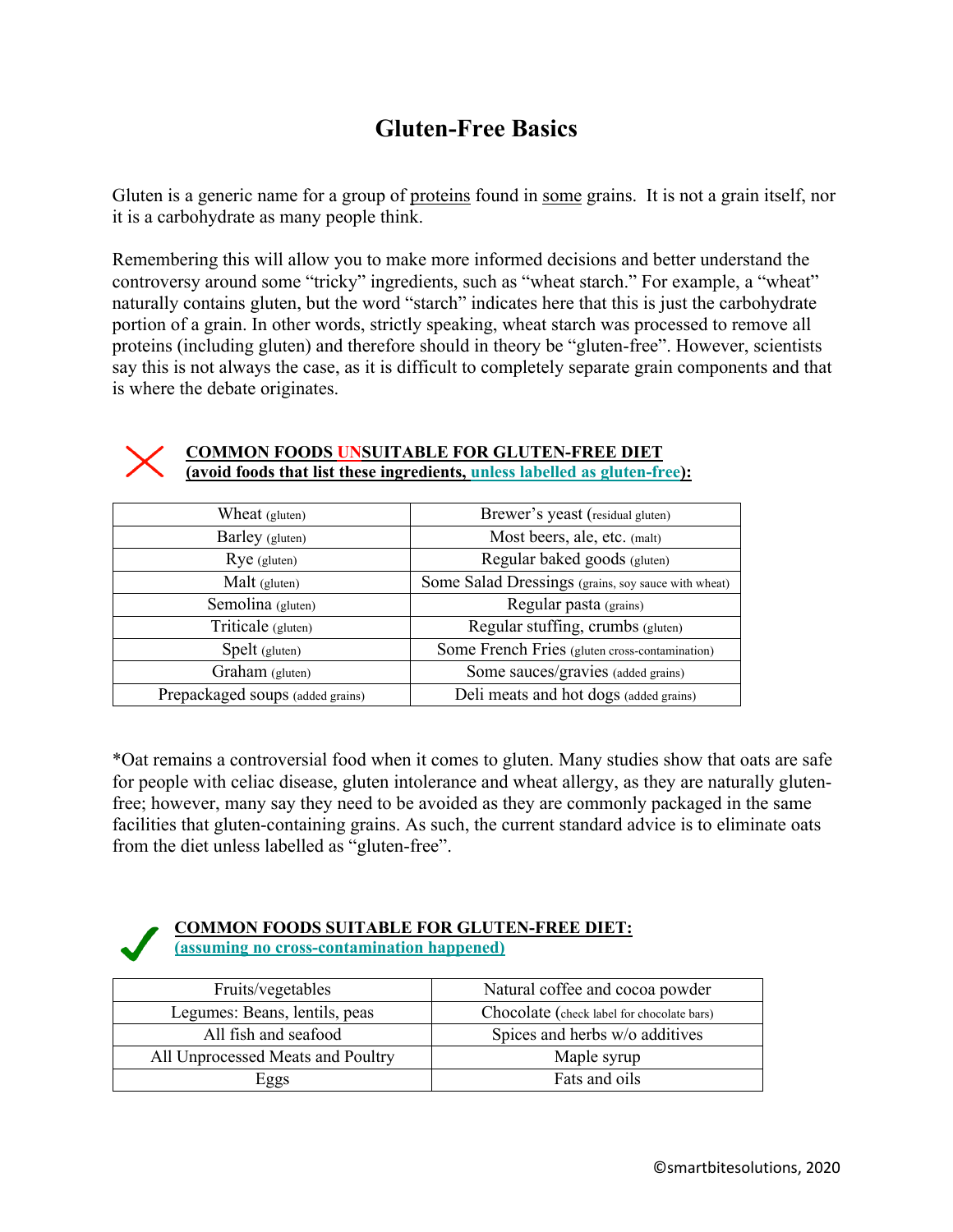## **Gluten-Free Basics**

Gluten is a generic name for a group of proteins found in some grains. It is not a grain itself, nor it is a carbohydrate as many people think.

Remembering this will allow you to make more informed decisions and better understand the controversy around some "tricky" ingredients, such as "wheat starch." For example, a "wheat" naturally contains gluten, but the word "starch" indicates here that this is just the carbohydrate portion of a grain. In other words, strictly speaking, wheat starch was processed to remove all proteins (including gluten) and therefore should in theory be "gluten-free". However, scientists say this is not always the case, as it is difficult to completely separate grain components and that is where the debate originates.



## **COMMON FOODS UNSUITABLE FOR GLUTEN-FREE DIET (avoid foods that list these ingredients, unless labelled as gluten-free):**

| Wheat (gluten)                   | Brewer's yeast (residual gluten)                    |
|----------------------------------|-----------------------------------------------------|
| Barley (gluten)                  | Most beers, ale, etc. (malt)                        |
| $Rye$ (gluten)                   | Regular baked goods (gluten)                        |
| Malt (gluten)                    | Some Salad Dressings (grains, soy sauce with wheat) |
| Semolina (gluten)                | Regular pasta (grains)                              |
| Triticale (gluten)               | Regular stuffing, crumbs (gluten)                   |
| Spelt (gluten)                   | Some French Fries (gluten cross-contamination)      |
| Graham (gluten)                  | Some sauces/gravies (added grains)                  |
| Prepackaged soups (added grains) | Deli meats and hot dogs (added grains)              |

\*Oat remains a controversial food when it comes to gluten. Many studies show that oats are safe for people with celiac disease, gluten intolerance and wheat allergy, as they are naturally glutenfree; however, many say they need to be avoided as they are commonly packaged in the same facilities that gluten-containing grains. As such, the current standard advice is to eliminate oats from the diet unless labelled as "gluten-free".



## **COMMON FOODS SUITABLE FOR GLUTEN-FREE DIET: (assuming no cross-contamination happened)**

| Fruits/vegetables                 | Natural coffee and cocoa powder            |
|-----------------------------------|--------------------------------------------|
| Legumes: Beans, lentils, peas     | Chocolate (check label for chocolate bars) |
| All fish and seafood              | Spices and herbs w/o additives             |
| All Unprocessed Meats and Poultry | Maple syrup                                |
| Eggs                              | Fats and oils                              |